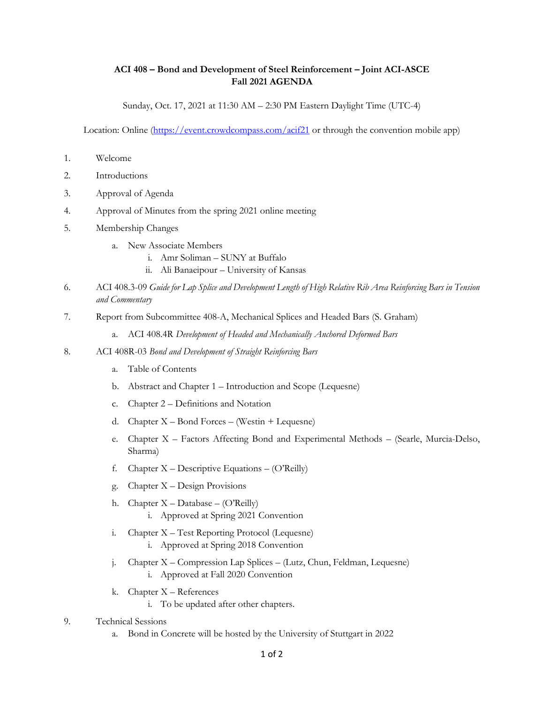## **ACI 408 – Bond and Development of Steel Reinforcement – Joint ACI-ASCE Fall 2021 AGENDA**

Sunday, Oct. 17, 2021 at 11:30 AM – 2:30 PM Eastern Daylight Time (UTC-4)

Location: Online [\(https://event.crowdcompass.com/acif21](https://event.crowdcompass.com/acif21) or through the convention mobile app)

- 1. Welcome
- 2. Introductions
- 3. Approval of Agenda
- 4. Approval of Minutes from the spring 2021 online meeting
- 5. Membership Changes
	- a. New Associate Members
		- i. Amr Soliman SUNY at Buffalo
		- ii. Ali Banaeipour University of Kansas
- 6. ACI 408.3-09 *Guide for Lap Splice and Development Length of High Relative Rib Area Reinforcing Bars in Tension and Commentary*
- 7. Report from Subcommittee 408-A, Mechanical Splices and Headed Bars (S. Graham)
	- a. ACI 408.4R *Development of Headed and Mechanically Anchored Deformed Bars*
- 8. ACI 408R-03 *Bond and Development of Straight Reinforcing Bars*
	- a. Table of Contents
	- b. Abstract and Chapter 1 Introduction and Scope (Lequesne)
	- c. Chapter 2 Definitions and Notation
	- d. Chapter X Bond Forces (Westin + Lequesne)
	- e. Chapter X Factors Affecting Bond and Experimental Methods (Searle, Murcia-Delso, Sharma)
	- f. Chapter  $X -$  Descriptive Equations  $-$  (O'Reilly)
	- g. Chapter X Design Provisions
	- h. Chapter X Database (O'Reilly) i. Approved at Spring 2021 Convention
	- i. Chapter X Test Reporting Protocol (Lequesne)
		- i. Approved at Spring 2018 Convention
	- j. Chapter X Compression Lap Splices (Lutz, Chun, Feldman, Lequesne) i. Approved at Fall 2020 Convention
	- k. Chapter X References
		- i. To be updated after other chapters.
- 9. Technical Sessions
	- a. Bond in Concrete will be hosted by the University of Stuttgart in 2022